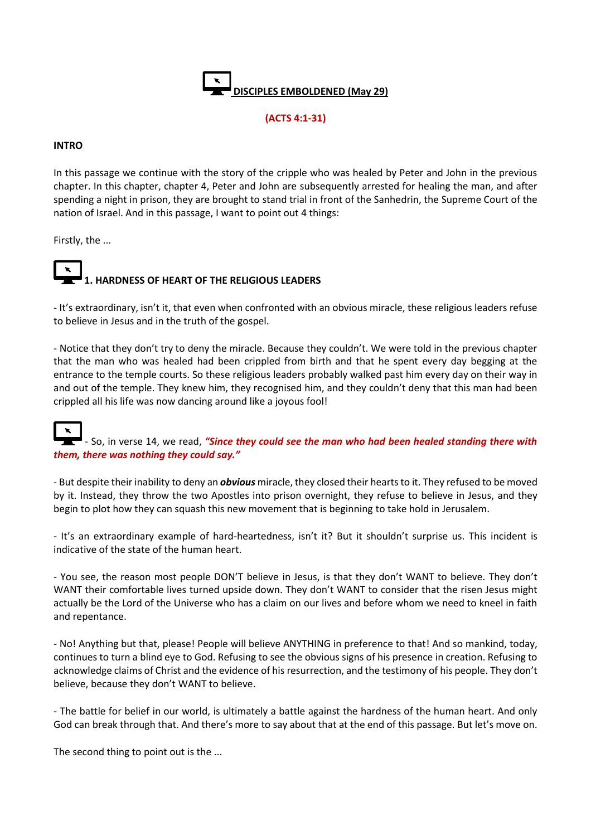

# **(ACTS 4:1-31)**

### **INTRO**

In this passage we continue with the story of the cripple who was healed by Peter and John in the previous chapter. In this chapter, chapter 4, Peter and John are subsequently arrested for healing the man, and after spending a night in prison, they are brought to stand trial in front of the Sanhedrin, the Supreme Court of the nation of Israel. And in this passage, I want to point out 4 things:

Firstly, the ...



**1. HARDNESS OF HEART OF THE RELIGIOUS LEADERS**

- It's extraordinary, isn't it, that even when confronted with an obvious miracle, these religious leaders refuse to believe in Jesus and in the truth of the gospel.

- Notice that they don't try to deny the miracle. Because they couldn't. We were told in the previous chapter that the man who was healed had been crippled from birth and that he spent every day begging at the entrance to the temple courts. So these religious leaders probably walked past him every day on their way in and out of the temple. They knew him, they recognised him, and they couldn't deny that this man had been crippled all his life was now dancing around like a joyous fool!

### $\tilde{\mathbf{x}}$ **EX** - So, in verse 14, we read, "Since they could see the man who had been healed standing there with *them, there was nothing they could say."*

- But despite their inability to deny an *obvious* miracle, they closed their hearts to it. They refused to be moved by it. Instead, they throw the two Apostles into prison overnight, they refuse to believe in Jesus, and they begin to plot how they can squash this new movement that is beginning to take hold in Jerusalem.

- It's an extraordinary example of hard-heartedness, isn't it? But it shouldn't surprise us. This incident is indicative of the state of the human heart.

- You see, the reason most people DON'T believe in Jesus, is that they don't WANT to believe. They don't WANT their comfortable lives turned upside down. They don't WANT to consider that the risen Jesus might actually be the Lord of the Universe who has a claim on our lives and before whom we need to kneel in faith and repentance.

- No! Anything but that, please! People will believe ANYTHING in preference to that! And so mankind, today, continues to turn a blind eye to God. Refusing to see the obvious signs of his presence in creation. Refusing to acknowledge claims of Christ and the evidence of his resurrection, and the testimony of his people. They don't believe, because they don't WANT to believe.

- The battle for belief in our world, is ultimately a battle against the hardness of the human heart. And only God can break through that. And there's more to say about that at the end of this passage. But let's move on.

The second thing to point out is the ...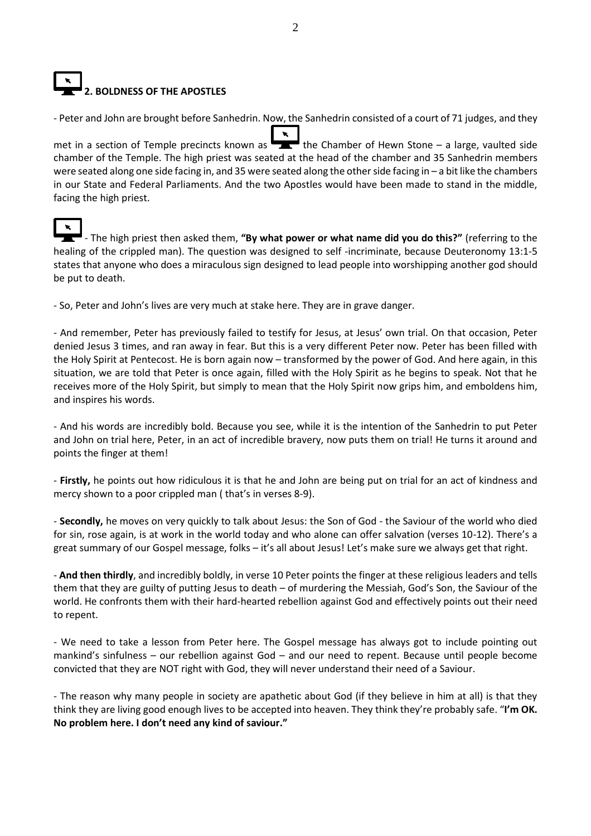# **2. BOLDNESS OF THE APOSTLES**

- Peter and John are brought before Sanhedrin. Now, the Sanhedrin consisted of a court of 71 judges, and they

met in a section of Temple precincts known as  $\overline{I}$  the Chamber of Hewn Stone – a large, vaulted side chamber of the Temple. The high priest was seated at the head of the chamber and 35 Sanhedrin members were seated along one side facing in, and 35 were seated along the other side facing in – a bit like the chambers in our State and Federal Parliaments. And the two Apostles would have been made to stand in the middle, facing the high priest.



- The high priest then asked them, **"By what power or what name did you do this?"** (referring to the healing of the crippled man). The question was designed to self -incriminate, because Deuteronomy 13:1-5 states that anyone who does a miraculous sign designed to lead people into worshipping another god should be put to death.

- So, Peter and John's lives are very much at stake here. They are in grave danger.

- And remember, Peter has previously failed to testify for Jesus, at Jesus' own trial. On that occasion, Peter denied Jesus 3 times, and ran away in fear. But this is a very different Peter now. Peter has been filled with the Holy Spirit at Pentecost. He is born again now – transformed by the power of God. And here again, in this situation, we are told that Peter is once again, filled with the Holy Spirit as he begins to speak. Not that he receives more of the Holy Spirit, but simply to mean that the Holy Spirit now grips him, and emboldens him, and inspires his words.

- And his words are incredibly bold. Because you see, while it is the intention of the Sanhedrin to put Peter and John on trial here, Peter, in an act of incredible bravery, now puts them on trial! He turns it around and points the finger at them!

- **Firstly,** he points out how ridiculous it is that he and John are being put on trial for an act of kindness and mercy shown to a poor crippled man ( that's in verses 8-9).

- **Secondly,** he moves on very quickly to talk about Jesus: the Son of God - the Saviour of the world who died for sin, rose again, is at work in the world today and who alone can offer salvation (verses 10-12). There's a great summary of our Gospel message, folks – it's all about Jesus! Let's make sure we always get that right.

- **And then thirdly**, and incredibly boldly, in verse 10 Peter points the finger at these religious leaders and tells them that they are guilty of putting Jesus to death – of murdering the Messiah, God's Son, the Saviour of the world. He confronts them with their hard-hearted rebellion against God and effectively points out their need to repent.

- We need to take a lesson from Peter here. The Gospel message has always got to include pointing out mankind's sinfulness – our rebellion against God – and our need to repent. Because until people become convicted that they are NOT right with God, they will never understand their need of a Saviour.

- The reason why many people in society are apathetic about God (if they believe in him at all) is that they think they are living good enough lives to be accepted into heaven. They think they're probably safe. "**I'm OK. No problem here. I don't need any kind of saviour."**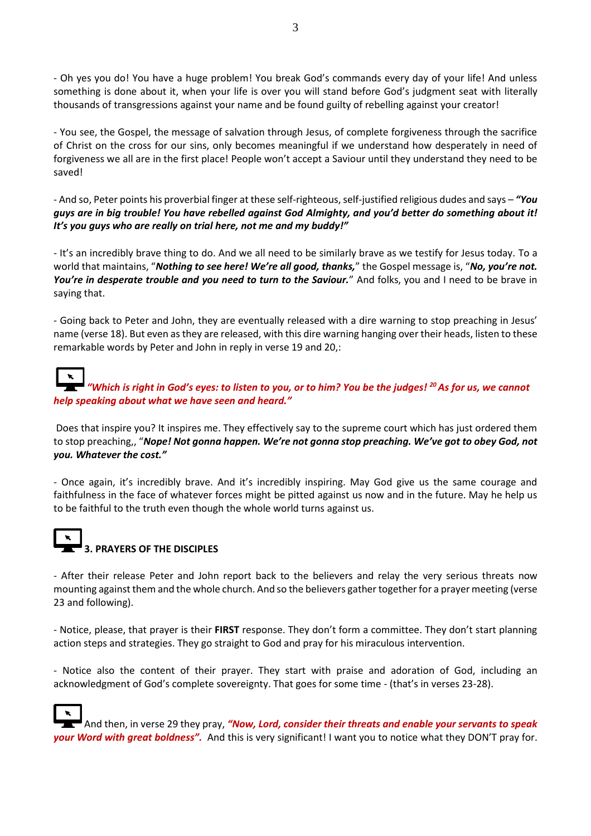- Oh yes you do! You have a huge problem! You break God's commands every day of your life! And unless something is done about it, when your life is over you will stand before God's judgment seat with literally thousands of transgressions against your name and be found guilty of rebelling against your creator!

- You see, the Gospel, the message of salvation through Jesus, of complete forgiveness through the sacrifice of Christ on the cross for our sins, only becomes meaningful if we understand how desperately in need of forgiveness we all are in the first place! People won't accept a Saviour until they understand they need to be saved!

- And so, Peter points his proverbial finger at these self-righteous, self-justified religious dudes and says – *"You guys are in big trouble! You have rebelled against God Almighty, and you'd better do something about it! It's you guys who are really on trial here, not me and my buddy!"*

- It's an incredibly brave thing to do. And we all need to be similarly brave as we testify for Jesus today. To a world that maintains, "*Nothing to see here! We're all good, thanks,*" the Gospel message is, "*No, you're not.*  You're in desperate trouble and you need to turn to the Saviour." And folks, you and I need to be brave in saying that.

- Going back to Peter and John, they are eventually released with a dire warning to stop preaching in Jesus' name (verse 18). But even as they are released, with this dire warning hanging over their heads, listen to these remarkable words by Peter and John in reply in verse 19 and 20,:

*"Which is right in God's eyes: to listen to you, or to him? You be the judges! <sup>20</sup>As for us, we cannot help speaking about what we have seen and heard."*

Does that inspire you? It inspires me. They effectively say to the supreme court which has just ordered them to stop preaching,, "*Nope! Not gonna happen. We're not gonna stop preaching. We've got to obey God, not you. Whatever the cost."*

- Once again, it's incredibly brave. And it's incredibly inspiring. May God give us the same courage and faithfulness in the face of whatever forces might be pitted against us now and in the future. May he help us to be faithful to the truth even though the whole world turns against us.

# **3. PRAYERS OF THE DISCIPLES**

- After their release Peter and John report back to the believers and relay the very serious threats now mounting against them and the whole church. And so the believers gather together for a prayer meeting (verse 23 and following).

- Notice, please, that prayer is their **FIRST** response. They don't form a committee. They don't start planning action steps and strategies. They go straight to God and pray for his miraculous intervention.

- Notice also the content of their prayer. They start with praise and adoration of God, including an acknowledgment of God's complete sovereignty. That goes for some time - (that's in verses 23-28).

And then, in verse 29 they pray, *"Now, Lord, consider their threats and enable your servants to speak your Word with great boldness".* And this is very significant! I want you to notice what they DON'T pray for.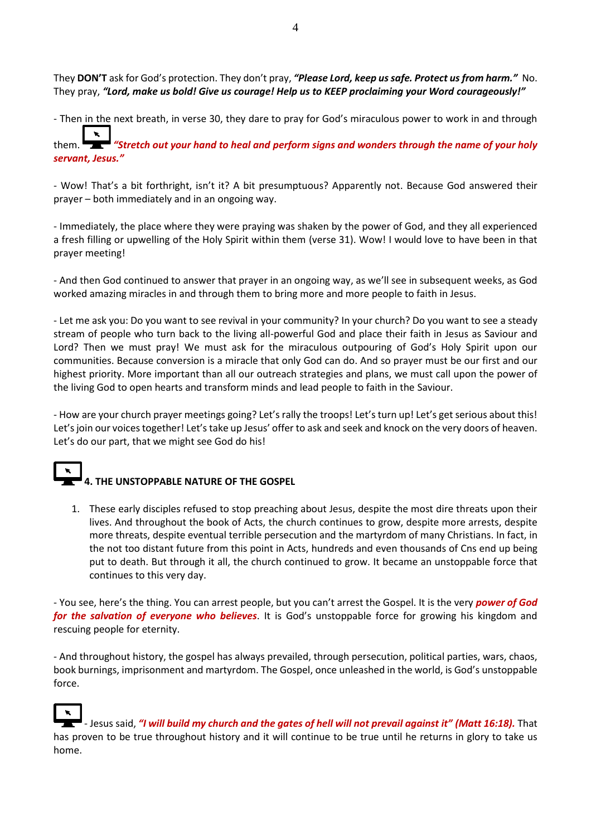They **DON'T** ask for God's protection. They don't pray, *"Please Lord, keep us safe. Protect us from harm."* No. They pray, *"Lord, make us bold! Give us courage! Help us to KEEP proclaiming your Word courageously!"*

- Then in the next breath, in verse 30, they dare to pray for God's miraculous power to work in and through

them. *"Stretch out your hand to heal and perform signs and wonders through the name of your holy servant, Jesus."*

- Wow! That's a bit forthright, isn't it? A bit presumptuous? Apparently not. Because God answered their prayer – both immediately and in an ongoing way.

- Immediately, the place where they were praying was shaken by the power of God, and they all experienced a fresh filling or upwelling of the Holy Spirit within them (verse 31). Wow! I would love to have been in that prayer meeting!

- And then God continued to answer that prayer in an ongoing way, as we'll see in subsequent weeks, as God worked amazing miracles in and through them to bring more and more people to faith in Jesus.

- Let me ask you: Do you want to see revival in your community? In your church? Do you want to see a steady stream of people who turn back to the living all-powerful God and place their faith in Jesus as Saviour and Lord? Then we must pray! We must ask for the miraculous outpouring of God's Holy Spirit upon our communities. Because conversion is a miracle that only God can do. And so prayer must be our first and our highest priority. More important than all our outreach strategies and plans, we must call upon the power of the living God to open hearts and transform minds and lead people to faith in the Saviour.

- How are your church prayer meetings going? Let's rally the troops! Let's turn up! Let's get serious about this! Let's join our voices together! Let's take up Jesus' offer to ask and seek and knock on the very doors of heaven. Let's do our part, that we might see God do his!

# **4. THE UNSTOPPABLE NATURE OF THE GOSPEL**

1. These early disciples refused to stop preaching about Jesus, despite the most dire threats upon their lives. And throughout the book of Acts, the church continues to grow, despite more arrests, despite more threats, despite eventual terrible persecution and the martyrdom of many Christians. In fact, in the not too distant future from this point in Acts, hundreds and even thousands of Cns end up being put to death. But through it all, the church continued to grow. It became an unstoppable force that continues to this very day.

- You see, here's the thing. You can arrest people, but you can't arrest the Gospel. It is the very *power of God for the salvation of everyone who believes*. It is God's unstoppable force for growing his kingdom and rescuing people for eternity.

- And throughout history, the gospel has always prevailed, through persecution, political parties, wars, chaos, book burnings, imprisonment and martyrdom. The Gospel, once unleashed in the world, is God's unstoppable force.

- Jesus said, *"I will build my church and the gates of hell will not prevail against it" (Matt 16:18).* That has proven to be true throughout history and it will continue to be true until he returns in glory to take us home.